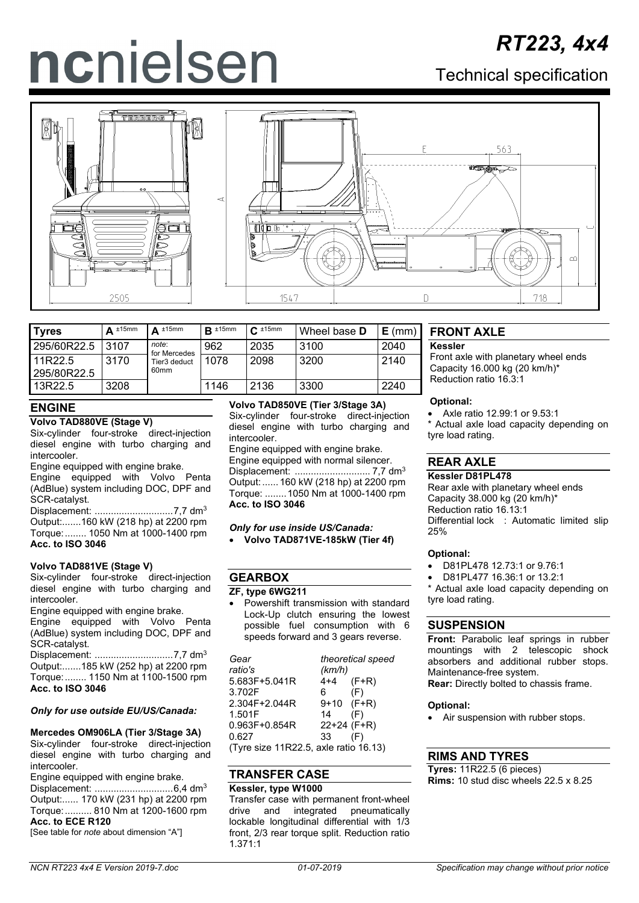# ncnielsen

# Technical specification



| <b>Tyres</b>           | $\Delta$ ±15mm | $\Delta$ ±15mm                   | $R \pm 15$ mm | $C_{\frac{1}{2}}$ 15mm | Wheel base <b>D</b> | $E$ (mm) |
|------------------------|----------------|----------------------------------|---------------|------------------------|---------------------|----------|
| 295/60R22.5            | 3107           | note:<br>for Mercedes            | 962           | 2035                   | 3100                | 2040     |
| 11R22.5<br>295/80R22.5 | 3170           | Tier3 deduct<br>60 <sub>mm</sub> | 1078          | 2098                   | 3200                | 2140     |
| 13R22.5                | 3208           |                                  | 1146          | 2136                   | 3300                | 2240     |

# **ENGINE**

## **Volvo TAD880VE (Stage V)**

Six-cylinder four-stroke direct-injection diesel engine with turbo charging and intercooler.

Engine equipped with engine brake.

Engine equipped with Volvo Penta (AdBlue) system including DOC, DPF and SCR-catalyst.

Displacement: .............................7,7 dm3 Output:.......160 kW (218 hp) at 2200 rpm Torque:........ 1050 Nm at 1000-1400 rpm **Acc. to ISO 3046**

## **Volvo TAD881VE (Stage V)**

Six-cylinder four-stroke direct-injection diesel engine with turbo charging and intercooler.

Engine equipped with engine brake. Engine equipped with Volvo Penta (AdBlue) system including DOC, DPF and SCR-catalyst.

Displacement: .............................7,7 dm3 Output:.......185 kW (252 hp) at 2200 rpm Torque:........ 1150 Nm at 1100-1500 rpm **Acc. to ISO 3046**

## *Only for use outside EU/US/Canada:*

**Mercedes OM906LA (Tier 3/Stage 3A)** Six-cylinder four-stroke direct-injection diesel engine with turbo charging and intercooler.

Engine equipped with engine brake.

Displacement: .............................6,4 dm3 Output:...... 170 kW (231 hp) at 2200 rpm Torque:.......... 810 Nm at 1200-1600 rpm **Acc. to ECE R120**

[See table for *note* about dimension "A"]

# **Volvo TAD850VE (Tier 3/Stage 3A)**

Six-cylinder four-stroke direct-injection diesel engine with turbo charging and intercooler.

Engine equipped with engine brake. Engine equipped with normal silencer. Displacement: ............................ 7,7 dm3 Output:...... 160 kW (218 hp) at 2200 rpm Torque: ........1050 Nm at 1000-1400 rpm **Acc. to ISO 3046**

*Only for use inside US/Canada:* • **Volvo TAD871VE-185kW (Tier 4f)**

# **GEARBOX**

## **ZF, type 6WG211**

• Powershift transmission with standard Lock-Up clutch ensuring the lowest possible fuel consumption with 6 speeds forward and 3 gears reverse.

| Gear                                  |              | theoretical speed |  |  |  |
|---------------------------------------|--------------|-------------------|--|--|--|
| ratio's                               | (km/h)       |                   |  |  |  |
| 5.683F+5.041R                         | 4+4          | $(F+R)$           |  |  |  |
| 3.702F                                | 6.           | (F)               |  |  |  |
| 2.304F+2.044R                         | $9+10$ (F+R) |                   |  |  |  |
| 1.501F                                | 14           | (F)               |  |  |  |
| $0.963F + 0.854R$                     | 22+24 (F+R)  |                   |  |  |  |
| 0.627                                 | 33           | (F)               |  |  |  |
| (Tyre size 11R22.5, axle ratio 16.13) |              |                   |  |  |  |

(Tyre size 11R22.5, axle ratio 16.13)

# **TRANSFER CASE**

# **Kessler, type W1000**

Transfer case with permanent front-wheel<br>drive and integrated pneumatically integrated pneumatically lockable longitudinal differential with 1/3 front, 2/3 rear torque split. Reduction ratio 1.371:1

# **FRONT AXLE**

## **Kessler**

Front axle with planetary wheel ends Capacity 16.000 kg (20 km/h)\* Reduction ratio 16.3:1

## **Optional:**

• Axle ratio 12.99:1 or 9.53:1 Actual axle load capacity depending on tyre load rating.

# **REAR AXLE**

## **Kessler D81PL478**

Rear axle with planetary wheel ends Capacity 38.000 kg (20 km/h)\* Reduction ratio 16.13:1 Differential lock : Automatic limited slip 25%

## **Optional:**

- D81PL478 12.73:1 or 9.76:1
- D81PL477 16.36:1 or 13.2:1

\* Actual axle load capacity depending on tyre load rating.

# **SUSPENSION**

**Front:** Parabolic leaf springs in rubber mountings with 2 telescopic shock absorbers and additional rubber stops. Maintenance-free system. **Rear:** Directly bolted to chassis frame.

## **Optional:**

• Air suspension with rubber stops.

# **RIMS AND TYRES**

**Tyres:** 11R22.5 (6 pieces) **Rims:** 10 stud disc wheels 22.5 x 8.25